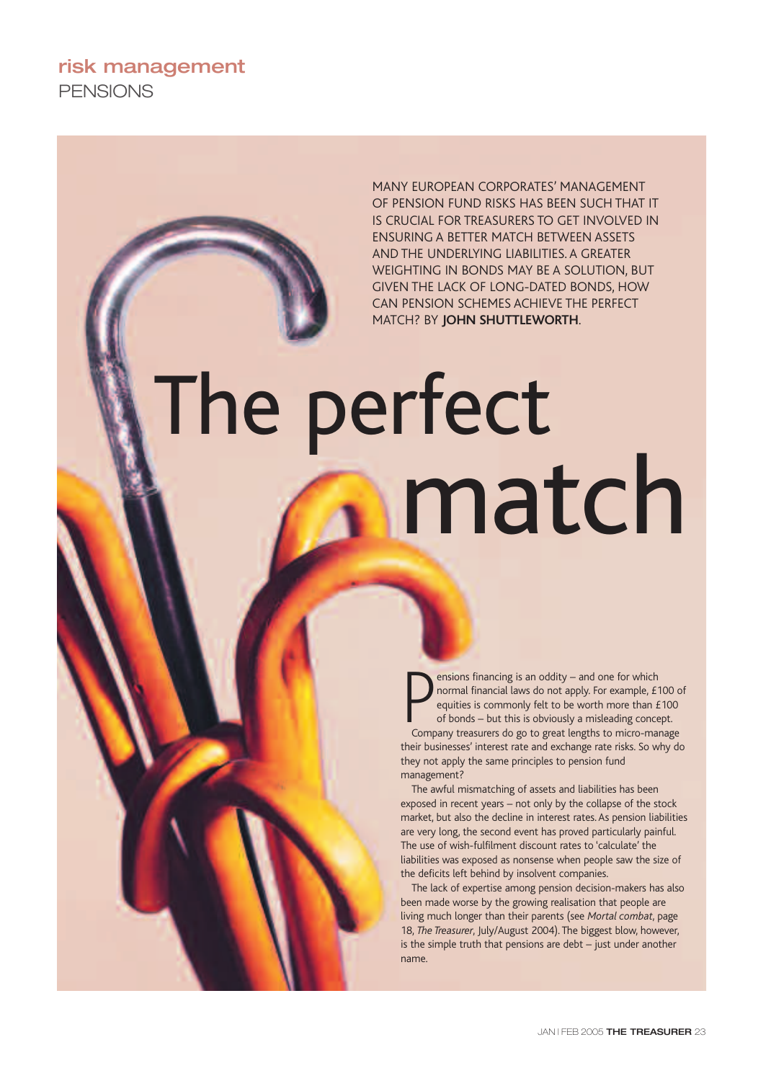**risk management PENSIONS** 

> MANY EUROPEAN CORPORATES' MANAGEMENT OF PENSION FUND RISKS HAS BEEN SUCH THAT IT IS CRUCIAL FOR TREASURERS TO GET INVOLVED IN ENSURING A BETTER MATCH BETWEEN ASSETS AND THE UNDERLYING LIABILITIES. A GREATER WEIGHTING IN BONDS MAY BE A SOLUTION, BUT GIVEN THE LACK OF LONG-DATED BONDS, HOW CAN PENSION SCHEMES ACHIEVE THE PERFECT MATCH? BY **JOHN SHUTTLEWORTH**.

# The perfect match

**Physical Set of the Set of the Set of the Set of the Set of the set of the set of the sequities is commonly felt to be worth more than £100 of bonds – but this is obviously a misleading concept.**<br>Company treasurers do go ensions financing is an oddity – and one for which normal financial laws do not apply. For example, £100 of equities is commonly felt to be worth more than £100 of bonds – but this is obviously a misleading concept. their businesses' interest rate and exchange rate risks. So why do they not apply the same principles to pension fund management?

The awful mismatching of assets and liabilities has been exposed in recent years – not only by the collapse of the stock market, but also the decline in interest rates. As pension liabilities are very long, the second event has proved particularly painful. The use of wish-fulfilment discount rates to 'calculate' the liabilities was exposed as nonsense when people saw the size of the deficits left behind by insolvent companies.

The lack of expertise among pension decision-makers has also been made worse by the growing realisation that people are living much longer than their parents (see *Mortal combat*, page 18, *The Treasurer*, July/August 2004). The biggest blow, however, is the simple truth that pensions are debt – just under another name.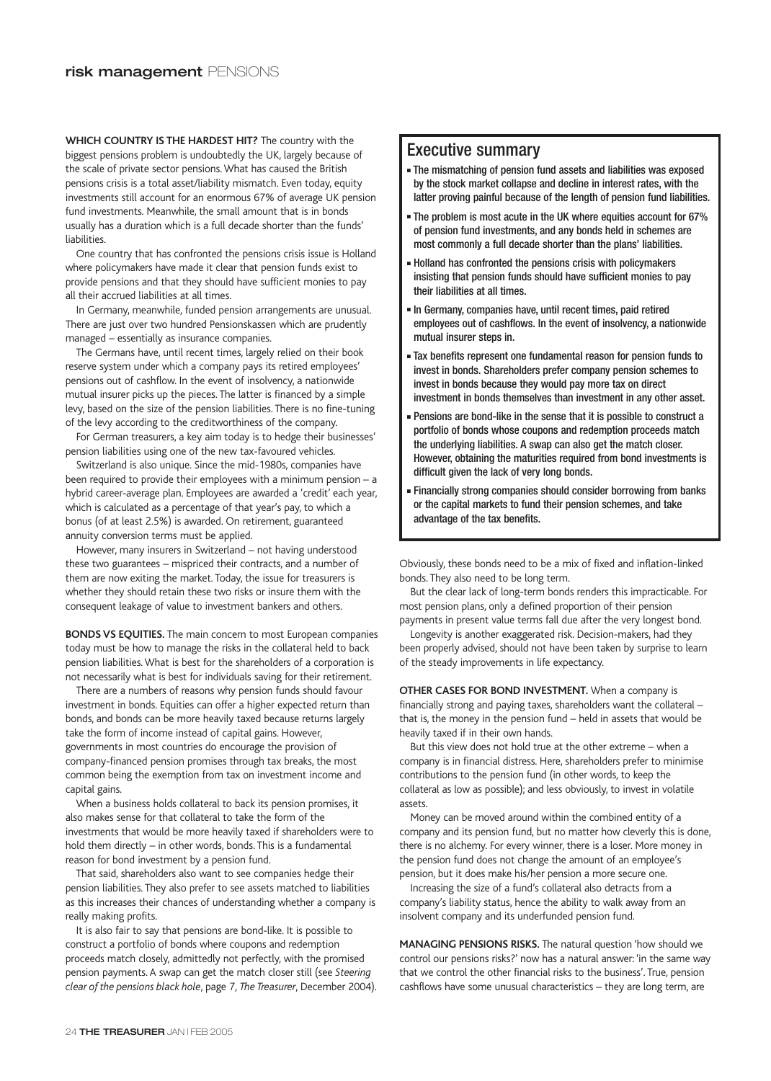**WHICH COUNTRY IS THE HARDEST HIT?** The country with the biggest pensions problem is undoubtedly the UK, largely because of the scale of private sector pensions. What has caused the British pensions crisis is a total asset/liability mismatch. Even today, equity investments still account for an enormous 67% of average UK pension fund investments. Meanwhile, the small amount that is in bonds usually has a duration which is a full decade shorter than the funds' liabilities.

One country that has confronted the pensions crisis issue is Holland where policymakers have made it clear that pension funds exist to provide pensions and that they should have sufficient monies to pay all their accrued liabilities at all times.

In Germany, meanwhile, funded pension arrangements are unusual. There are just over two hundred Pensionskassen which are prudently managed – essentially as insurance companies.

The Germans have, until recent times, largely relied on their book reserve system under which a company pays its retired employees' pensions out of cashflow. In the event of insolvency, a nationwide mutual insurer picks up the pieces. The latter is financed by a simple levy, based on the size of the pension liabilities. There is no fine-tuning of the levy according to the creditworthiness of the company.

For German treasurers, a key aim today is to hedge their businesses' pension liabilities using one of the new tax-favoured vehicles.

Switzerland is also unique. Since the mid-1980s, companies have been required to provide their employees with a minimum pension – a hybrid career-average plan. Employees are awarded a 'credit' each year, which is calculated as a percentage of that year's pay, to which a bonus (of at least 2.5%) is awarded. On retirement, guaranteed annuity conversion terms must be applied.

However, many insurers in Switzerland – not having understood these two guarantees – mispriced their contracts, and a number of them are now exiting the market. Today, the issue for treasurers is whether they should retain these two risks or insure them with the consequent leakage of value to investment bankers and others.

**BONDS VS EQUITIES.** The main concern to most European companies today must be how to manage the risks in the collateral held to back pension liabilities. What is best for the shareholders of a corporation is not necessarily what is best for individuals saving for their retirement.

There are a numbers of reasons why pension funds should favour investment in bonds. Equities can offer a higher expected return than bonds, and bonds can be more heavily taxed because returns largely take the form of income instead of capital gains. However, governments in most countries do encourage the provision of company-financed pension promises through tax breaks, the most common being the exemption from tax on investment income and capital gains.

When a business holds collateral to back its pension promises, it also makes sense for that collateral to take the form of the investments that would be more heavily taxed if shareholders were to hold them directly – in other words, bonds. This is a fundamental reason for bond investment by a pension fund.

That said, shareholders also want to see companies hedge their pension liabilities. They also prefer to see assets matched to liabilities as this increases their chances of understanding whether a company is really making profits.

It is also fair to say that pensions are bond-like. It is possible to construct a portfolio of bonds where coupons and redemption proceeds match closely, admittedly not perfectly, with the promised pension payments. A swap can get the match closer still (see *Steering clear of the pensions black hole*, page 7, *The Treasurer*, December 2004).

## Executive summary

- The mismatching of pension fund assets and liabilities was exposed by the stock market collapse and decline in interest rates, with the latter proving painful because of the length of pension fund liabilities.
- The problem is most acute in the UK where equities account for 67% of pension fund investments, and any bonds held in schemes are most commonly a full decade shorter than the plans' liabilities.
- Holland has confronted the pensions crisis with policymakers insisting that pension funds should have sufficient monies to pay their liabilities at all times.
- In Germany, companies have, until recent times, paid retired employees out of cashflows. In the event of insolvency, a nationwide mutual insurer steps in.
- Tax benefits represent one fundamental reason for pension funds to invest in bonds. Shareholders prefer company pension schemes to invest in bonds because they would pay more tax on direct investment in bonds themselves than investment in any other asset.
- Pensions are bond-like in the sense that it is possible to construct a portfolio of bonds whose coupons and redemption proceeds match the underlying liabilities. A swap can also get the match closer. However, obtaining the maturities required from bond investments is difficult given the lack of very long bonds.
- Financially strong companies should consider borrowing from banks or the capital markets to fund their pension schemes, and take advantage of the tax benefits.

Obviously, these bonds need to be a mix of fixed and inflation-linked bonds. They also need to be long term.

But the clear lack of long-term bonds renders this impracticable. For most pension plans, only a defined proportion of their pension payments in present value terms fall due after the very longest bond.

Longevity is another exaggerated risk. Decision-makers, had they been properly advised, should not have been taken by surprise to learn of the steady improvements in life expectancy.

**OTHER CASES FOR BOND INVESTMENT.** When a company is financially strong and paying taxes, shareholders want the collateral – that is, the money in the pension fund – held in assets that would be heavily taxed if in their own hands.

But this view does not hold true at the other extreme – when a company is in financial distress. Here, shareholders prefer to minimise contributions to the pension fund (in other words, to keep the collateral as low as possible); and less obviously, to invest in volatile assets.

Money can be moved around within the combined entity of a company and its pension fund, but no matter how cleverly this is done, there is no alchemy. For every winner, there is a loser. More money in the pension fund does not change the amount of an employee's pension, but it does make his/her pension a more secure one.

Increasing the size of a fund's collateral also detracts from a company's liability status, hence the ability to walk away from an insolvent company and its underfunded pension fund.

**MANAGING PENSIONS RISKS.** The natural question 'how should we control our pensions risks?' now has a natural answer: 'in the same way that we control the other financial risks to the business'. True, pension cashflows have some unusual characteristics – they are long term, are